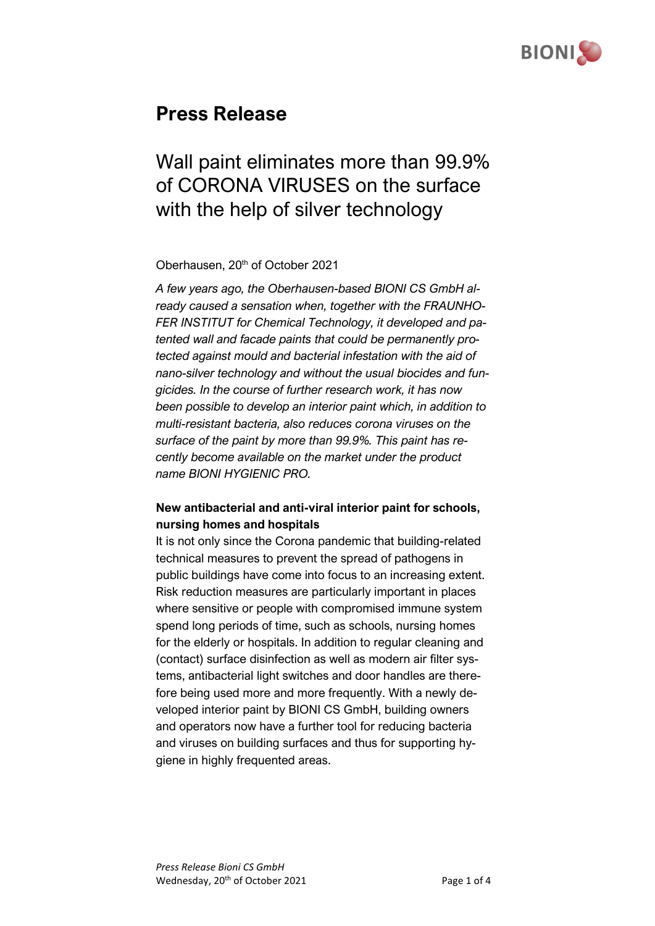

# **Press Release**

# Wall paint eliminates more than 99.9% of CORONA VIRUSES on the surface with the help of silver technology

#### Oberhausen, 20<sup>th</sup> of October 2021

*A few years ago, the Oberhausen-based BIONI CS GmbH already caused a sensation when, together with the FRAUNHO-FER INSTITUT for Chemical Technology, it developed and patented wall and facade paints that could be permanently protected against mould and bacterial infestation with the aid of nano-silver technology and without the usual biocides and fungicides. In the course of further research work, it has now been possible to develop an interior paint which, in addition to multi-resistant bacteria, also reduces corona viruses on the surface of the paint by more than 99.9%. This paint has recently become available on the market under the product name BIONI HYGIENIC PRO.*

### **New antibacterial and anti-viral interior paint for schools, nursing homes and hospitals**

It is not only since the Corona pandemic that building-related technical measures to prevent the spread of pathogens in public buildings have come into focus to an increasing extent. Risk reduction measures are particularly important in places where sensitive or people with compromised immune system spend long periods of time, such as schools, nursing homes for the elderly or hospitals. In addition to regular cleaning and (contact) surface disinfection as well as modern air filter systems, antibacterial light switches and door handles are therefore being used more and more frequently. With a newly developed interior paint by BIONI CS GmbH, building owners and operators now have a further tool for reducing bacteria and viruses on building surfaces and thus for supporting hygiene in highly frequented areas.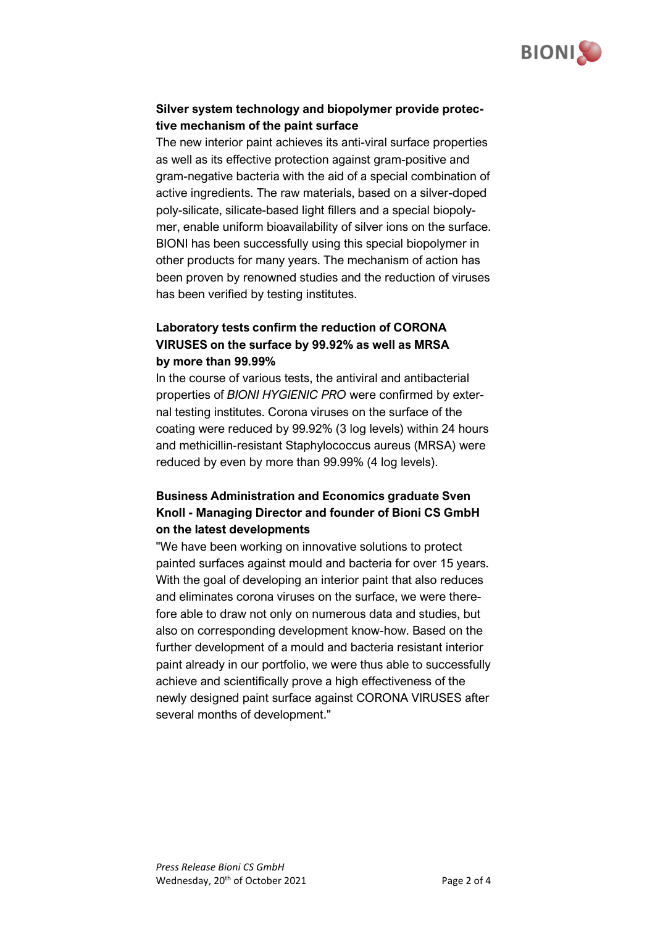

### **Silver system technology and biopolymer provide protective mechanism of the paint surface**

The new interior paint achieves its anti-viral surface properties as well as its effective protection against gram-positive and gram-negative bacteria with the aid of a special combination of active ingredients. The raw materials, based on a silver-doped poly-silicate, silicate-based light fillers and a special biopolymer, enable uniform bioavailability of silver ions on the surface. BIONI has been successfully using this special biopolymer in other products for many years. The mechanism of action has been proven by renowned studies and the reduction of viruses has been verified by testing institutes.

### **Laboratory tests confirm the reduction of CORONA VIRUSES on the surface by 99.92% as well as MRSA by more than 99.99%**

In the course of various tests, the antiviral and antibacterial properties of *BIONI HYGIENIC PRO* were confirmed by external testing institutes. Corona viruses on the surface of the coating were reduced by 99.92% (3 log levels) within 24 hours and methicillin-resistant Staphylococcus aureus (MRSA) were reduced by even by more than 99.99% (4 log levels).

## **Business Administration and Economics graduate Sven Knoll - Managing Director and founder of Bioni CS GmbH on the latest developments**

"We have been working on innovative solutions to protect painted surfaces against mould and bacteria for over 15 years. With the goal of developing an interior paint that also reduces and eliminates corona viruses on the surface, we were therefore able to draw not only on numerous data and studies, but also on corresponding development know-how. Based on the further development of a mould and bacteria resistant interior paint already in our portfolio, we were thus able to successfully achieve and scientifically prove a high effectiveness of the newly designed paint surface against CORONA VIRUSES after several months of development."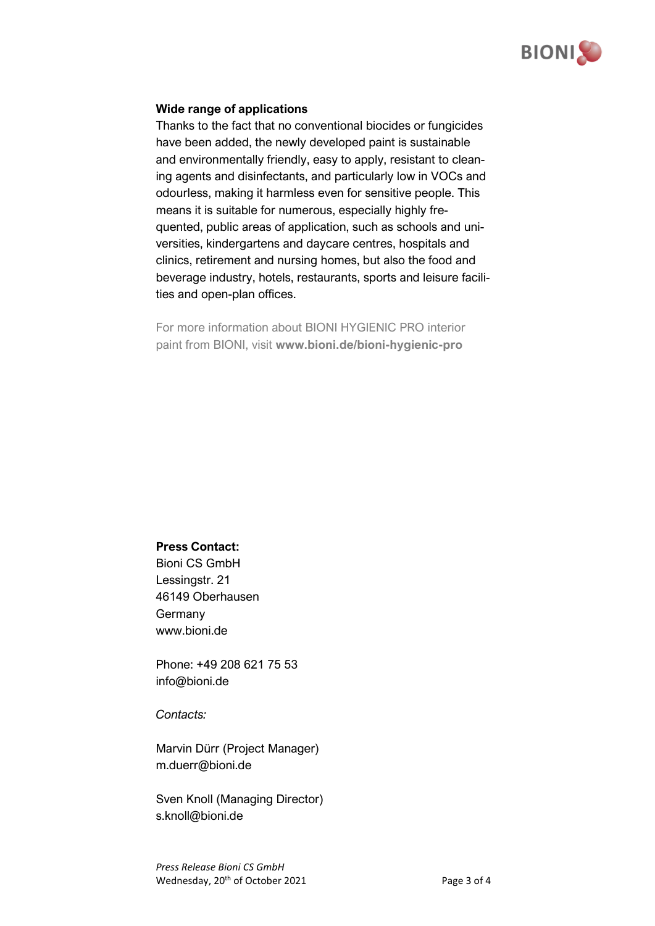

#### **Wide range of applications**

Thanks to the fact that no conventional biocides or fungicides have been added, the newly developed paint is sustainable and environmentally friendly, easy to apply, resistant to cleaning agents and disinfectants, and particularly low in VOCs and odourless, making it harmless even for sensitive people. This means it is suitable for numerous, especially highly frequented, public areas of application, such as schools and universities, kindergartens and daycare centres, hospitals and clinics, retirement and nursing homes, but also the food and beverage industry, hotels, restaurants, sports and leisure facilities and open-plan offices.

For more information about BIONI HYGIENIC PRO interior paint from BIONI, visit **www.bioni.de/bioni-hygienic-pro**

#### **Press Contact:**

Bioni CS GmbH Lessingstr. 21 46149 Oberhausen Germany www.bioni.de

Phone: +49 208 621 75 53 info@bioni.de

*Contacts:* 

Marvin Dürr (Project Manager) m.duerr@bioni.de

Sven Knoll (Managing Director) s.knoll@bioni.de

*Press Release Bioni CS GmbH* Wednesday, 20<sup>th</sup> of October 2021 Page 3 of 4